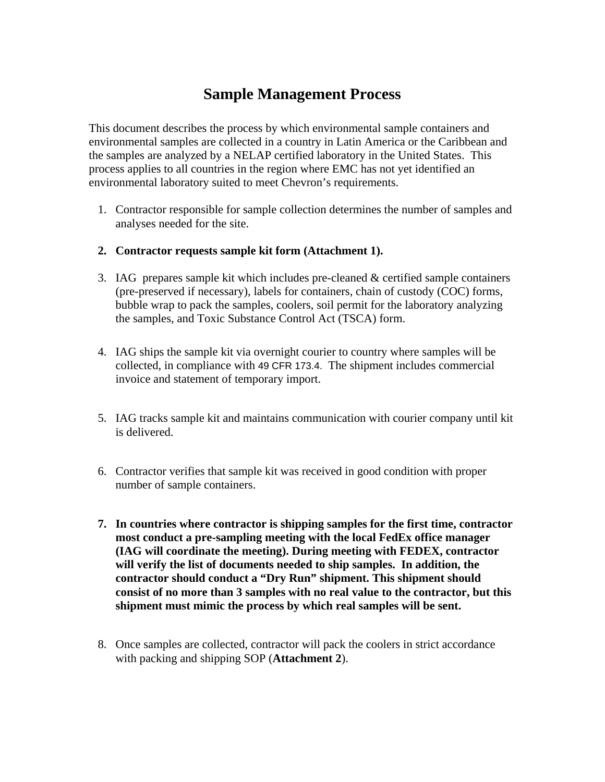## **Sample Management Process**

This document describes the process by which environmental sample containers and environmental samples are collected in a country in Latin America or the Caribbean and the samples are analyzed by a NELAP certified laboratory in the United States. This process applies to all countries in the region where EMC has not yet identified an environmental laboratory suited to meet Chevron's requirements.

- 1. Contractor responsible for sample collection determines the number of samples and analyses needed for the site.
- **2. Contractor requests sample kit form (Attachment 1).**
- 3. IAG prepares sample kit which includes pre-cleaned & certified sample containers (pre-preserved if necessary), labels for containers, chain of custody (COC) forms, bubble wrap to pack the samples, coolers, soil permit for the laboratory analyzing the samples, and Toxic Substance Control Act (TSCA) form.
- 4. IAG ships the sample kit via overnight courier to country where samples will be collected, in compliance with 49 CFR 173.4. The shipment includes commercial invoice and statement of temporary import.
- 5. IAG tracks sample kit and maintains communication with courier company until kit is delivered.
- 6. Contractor verifies that sample kit was received in good condition with proper number of sample containers.
- **7. In countries where contractor is shipping samples for the first time, contractor most conduct a pre-sampling meeting with the local FedEx office manager (IAG will coordinate the meeting). During meeting with FEDEX, contractor will verify the list of documents needed to ship samples. In addition, the contractor should conduct a "Dry Run" shipment. This shipment should consist of no more than 3 samples with no real value to the contractor, but this shipment must mimic the process by which real samples will be sent.**
- 8. Once samples are collected, contractor will pack the coolers in strict accordance with packing and shipping SOP (**Attachment 2**).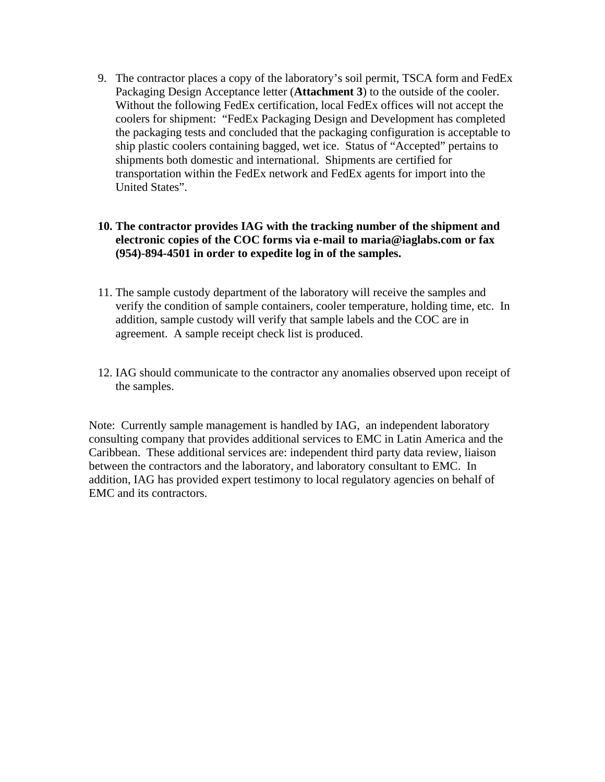9. The contractor places a copy of the laboratory's soil permit, TSCA form and FedEx Packaging Design Acceptance letter (**Attachment 3**) to the outside of the cooler. Without the following FedEx certification, local FedEx offices will not accept the coolers for shipment: "FedEx Packaging Design and Development has completed the packaging tests and concluded that the packaging configuration is acceptable to ship plastic coolers containing bagged, wet ice. Status of "Accepted" pertains to shipments both domestic and international. Shipments are certified for transportation within the FedEx network and FedEx agents for import into the United States".

#### **10. The contractor provides IAG with the tracking number of the shipment and electronic copies of the COC forms via e-mail to maria@iaglabs.com or fax (954)-894-4501 in order to expedite log in of the samples.**

- 11. The sample custody department of the laboratory will receive the samples and verify the condition of sample containers, cooler temperature, holding time, etc. In addition, sample custody will verify that sample labels and the COC are in agreement. A sample receipt check list is produced.
- 12. IAG should communicate to the contractor any anomalies observed upon receipt of the samples.

Note: Currently sample management is handled by IAG, an independent laboratory consulting company that provides additional services to EMC in Latin America and the Caribbean. These additional services are: independent third party data review, liaison between the contractors and the laboratory, and laboratory consultant to EMC. In addition, IAG has provided expert testimony to local regulatory agencies on behalf of EMC and its contractors.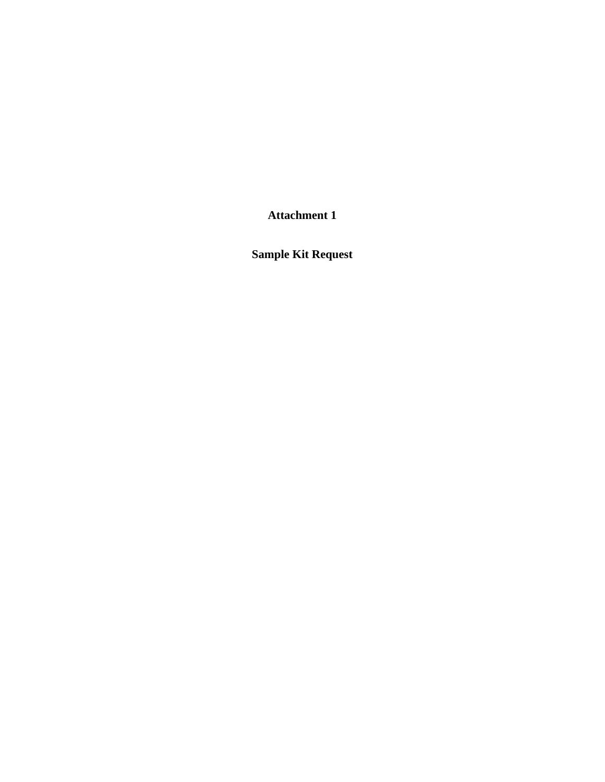**Attachment 1** 

**Sample Kit Request**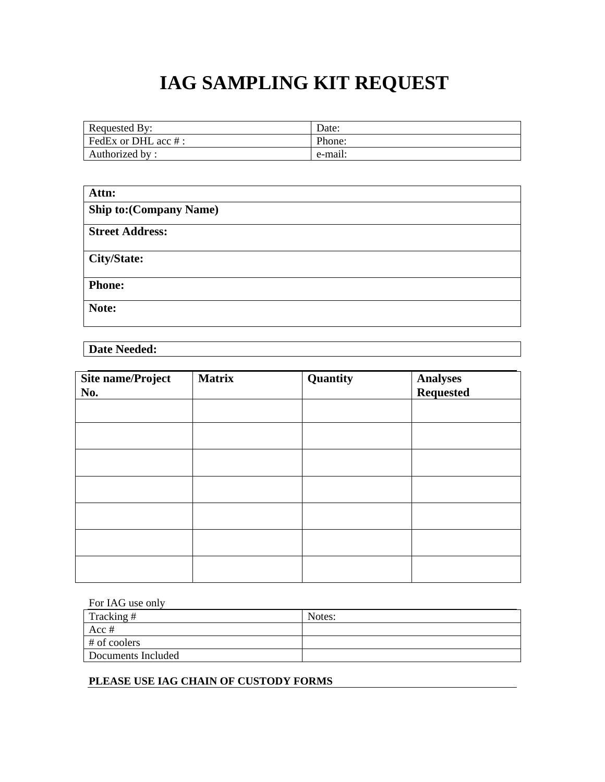# **IAG SAMPLING KIT REQUEST**

| <b>Requested By:</b>         | Date:   |
|------------------------------|---------|
| $\vert$ FedEx or DHL acc # : | Phone:  |
| Authorized by:               | e-mail: |

| Attn:                          |
|--------------------------------|
| <b>Ship to: (Company Name)</b> |
| <b>Street Address:</b>         |
| <b>City/State:</b>             |
| <b>Phone:</b>                  |
| Note:                          |

**Date Needed:** 

| <b>Site name/Project</b><br>No. | <b>Matrix</b> | Quantity | Analyses<br>Requested |
|---------------------------------|---------------|----------|-----------------------|
|                                 |               |          |                       |
|                                 |               |          |                       |
|                                 |               |          |                       |
|                                 |               |          |                       |
|                                 |               |          |                       |
|                                 |               |          |                       |
|                                 |               |          |                       |

| For IAG use only   |        |  |
|--------------------|--------|--|
| Tracking #         | Notes: |  |
| Acc $#$            |        |  |
| $#$ of coolers     |        |  |
| Documents Included |        |  |

**PLEASE USE IAG CHAIN OF CUSTODY FORMS**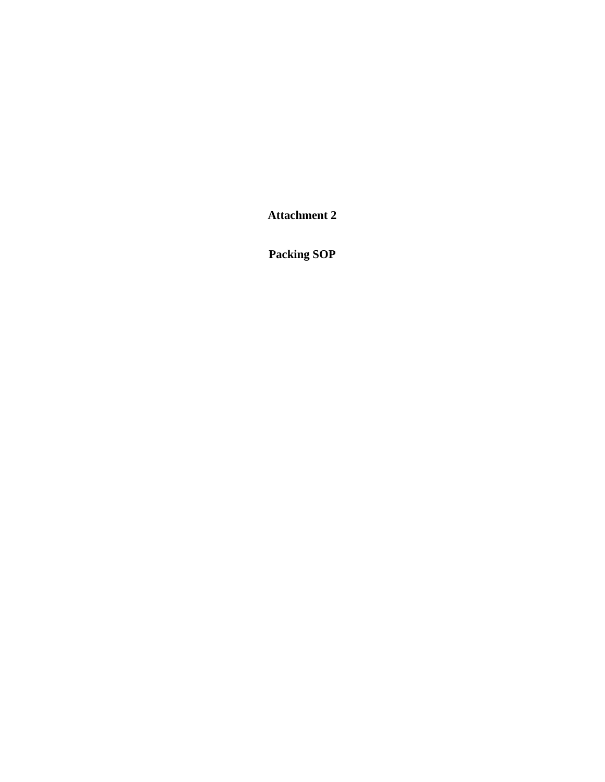**Attachment 2** 

**Packing SOP**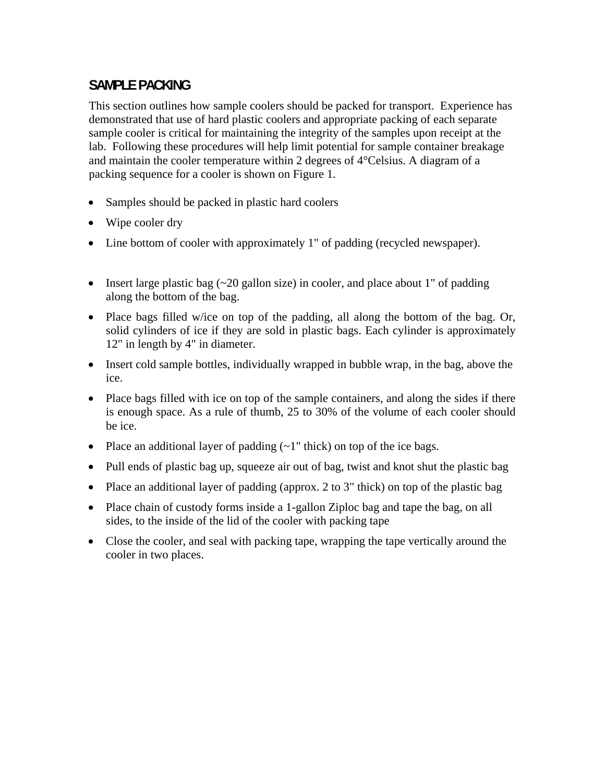### **SAMPLE PACKING**

This section outlines how sample coolers should be packed for transport. Experience has demonstrated that use of hard plastic coolers and appropriate packing of each separate sample cooler is critical for maintaining the integrity of the samples upon receipt at the lab. Following these procedures will help limit potential for sample container breakage and maintain the cooler temperature within 2 degrees of 4°Celsius. A diagram of a packing sequence for a cooler is shown on Figure 1.

- Samples should be packed in plastic hard coolers
- Wipe cooler dry
- Line bottom of cooler with approximately 1" of padding (recycled newspaper).
- Insert large plastic bag  $(\sim 20$  gallon size) in cooler, and place about 1" of padding along the bottom of the bag.
- Place bags filled w/ice on top of the padding, all along the bottom of the bag. Or, solid cylinders of ice if they are sold in plastic bags. Each cylinder is approximately 12" in length by 4" in diameter.
- Insert cold sample bottles, individually wrapped in bubble wrap, in the bag, above the ice.
- Place bags filled with ice on top of the sample containers, and along the sides if there is enough space. As a rule of thumb, 25 to 30% of the volume of each cooler should be ice.
- Place an additional layer of padding  $(-1)$  thick) on top of the ice bags.
- Pull ends of plastic bag up, squeeze air out of bag, twist and knot shut the plastic bag
- Place an additional layer of padding (approx. 2 to 3" thick) on top of the plastic bag
- Place chain of custody forms inside a 1-gallon Ziploc bag and tape the bag, on all sides, to the inside of the lid of the cooler with packing tape
- Close the cooler, and seal with packing tape, wrapping the tape vertically around the cooler in two places.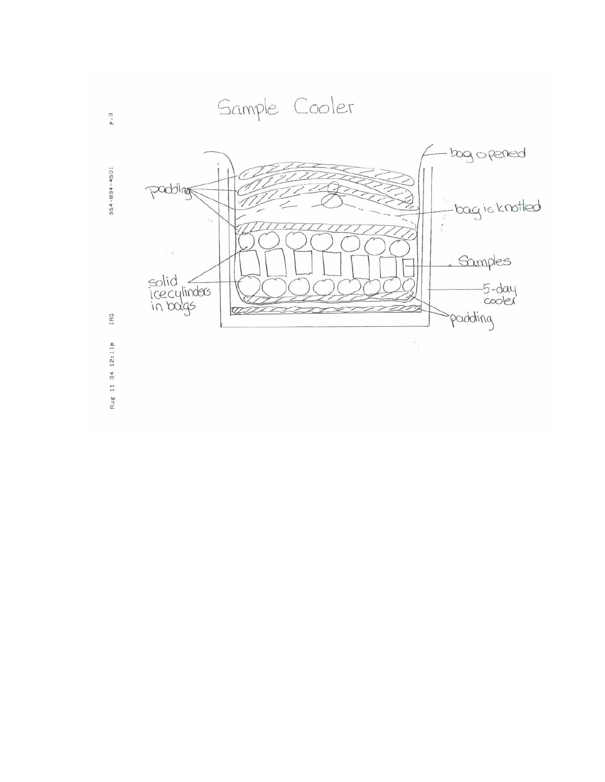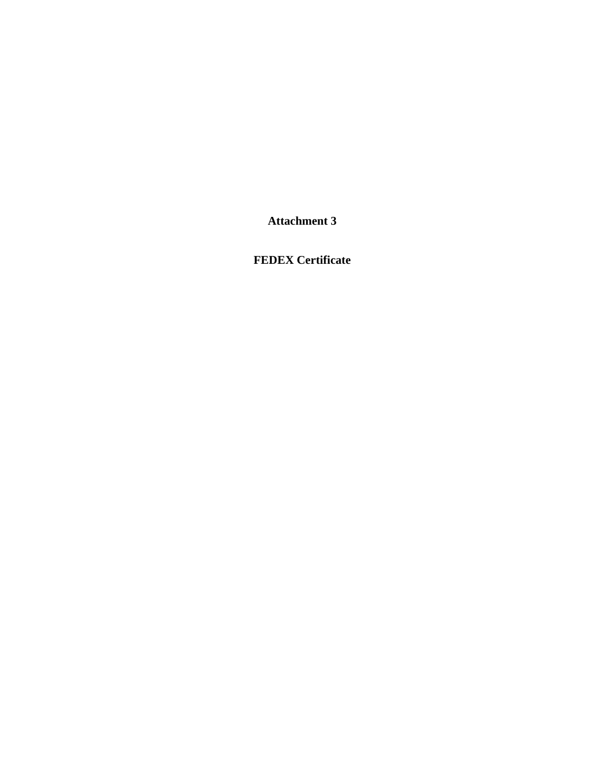**Attachment 3** 

**FEDEX Certificate**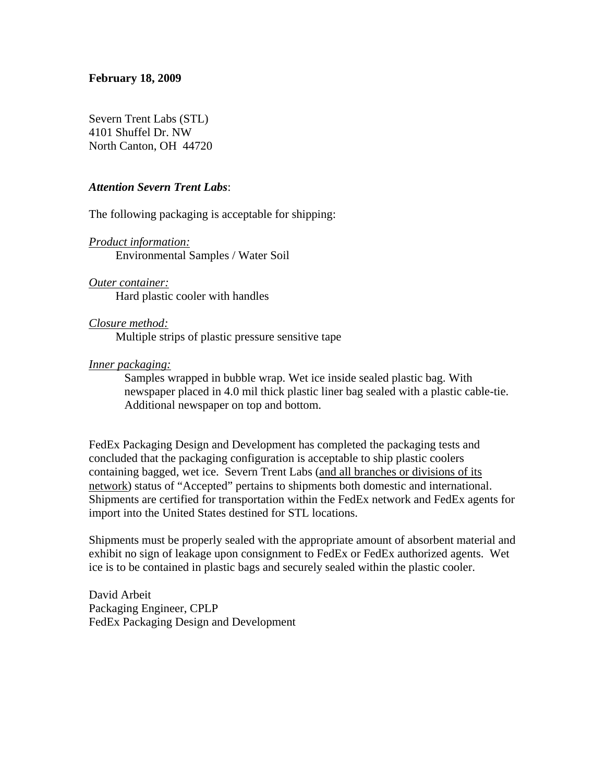#### **February 18, 2009**

Severn Trent Labs (STL) 4101 Shuffel Dr. NW North Canton, OH 44720

#### *Attention Severn Trent Labs*:

The following packaging is acceptable for shipping:

*Product information:* Environmental Samples / Water Soil

*Outer container:* Hard plastic cooler with handles

*Closure method:* Multiple strips of plastic pressure sensitive tape

#### *Inner packaging:*

Samples wrapped in bubble wrap. Wet ice inside sealed plastic bag. With newspaper placed in 4.0 mil thick plastic liner bag sealed with a plastic cable-tie. Additional newspaper on top and bottom.

FedEx Packaging Design and Development has completed the packaging tests and concluded that the packaging configuration is acceptable to ship plastic coolers containing bagged, wet ice. Severn Trent Labs (and all branches or divisions of its network) status of "Accepted" pertains to shipments both domestic and international. Shipments are certified for transportation within the FedEx network and FedEx agents for import into the United States destined for STL locations.

Shipments must be properly sealed with the appropriate amount of absorbent material and exhibit no sign of leakage upon consignment to FedEx or FedEx authorized agents. Wet ice is to be contained in plastic bags and securely sealed within the plastic cooler.

David Arbeit Packaging Engineer, CPLP FedEx Packaging Design and Development